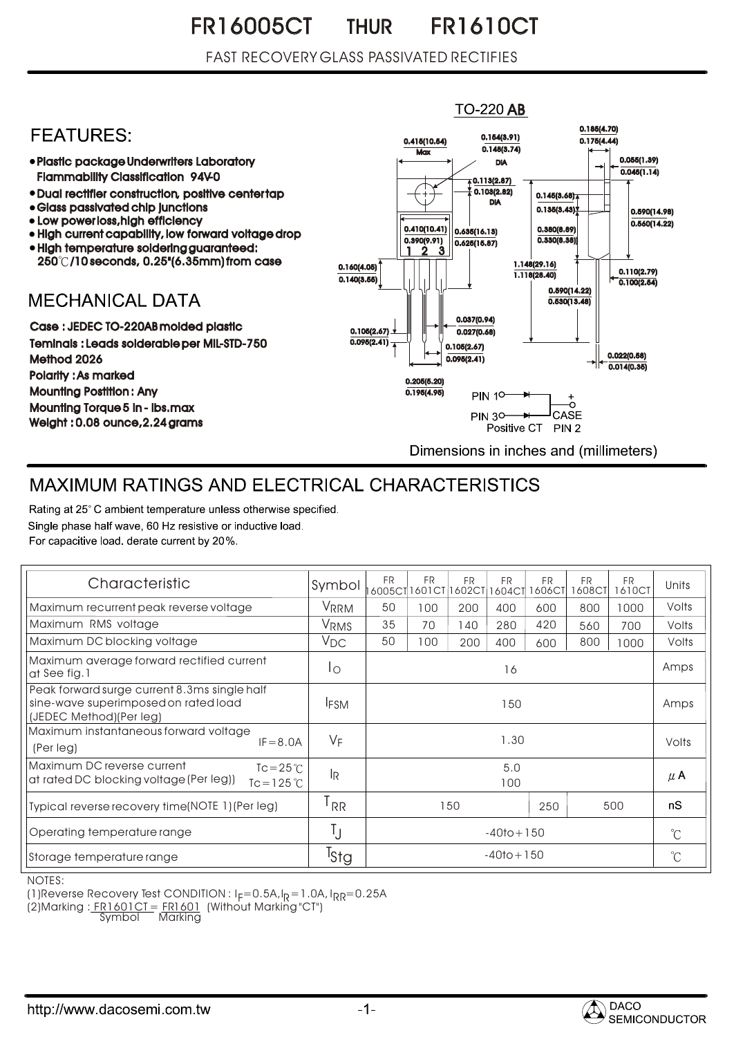### FR16005CT THUR FR1610CT THUR

## FAST RECOVERY GLASS PASSIVATED RECTIFIES

#### **TO-220 AB** 0.185(4.70) **FEATURES:** 0.154(3.91) 0.415(10.54) 0.175(4.44)  $0.148(3.74)$ **Max** 0.055(1.39) Plastic package Underwriters Laboratory DIA  $0.045(1.14)$ Flammability Classification 94V-0  $\overline{4}$  0.113(2.87) 0.103(2.82) Dual rectifier construction, positive center tap 0.145(3.68) DIA Glass passivated chip junctions  $0.135(3.43)$ 0.590(14.98) • Low power loss, high efficiency  $0.560(14.22)$ 0.410(10.41) 0.380(8.89) 0.635(16.13) High current capability, low forward voltage drop 0.330(8.38)) 0.390(9.91)  $0.625(15.87)$ High temperature soldering guaranteed: 1 3 2 250 /10 seconds, 0.25"(6.35mm) from case 1.148(29.16) 0.160(4.05) 0.110(2.79) 1.118(28.40) 0.140(3.55)  $\overline{0.100(2.54)}$ 0.590(14.22) **MECHANICAL DATA**  $0.530(13.48)$ 0.037(0.94) Case : JEDEC TO-220AB molded plastic 0.105(2.67)  $0.027(0.68)$ Teminals : Leads solderable per MIL-STD-750  $0.095(2.41)$ 0.105(2.67) 0.022(0.58) Method 2026  $0.095(2.41)$  $0.014(0.35)$ Polarity : As marked 0.205(5.20) Mounting Postition : Any 0.195(4.95) **PIN 10-**Mounting Torque 5 in - lbs.max **PIN 30-**CASE  $\rightarrow$ Weight : 0.08 ounce,2.24 grams Positive CT PIN 2 Dimensions in inches and (millimeters)

# MAXIMUM RATINGS AND ELECTRICAL CHARACTERISTICS

Rating at 25°C ambient temperature unless otherwise specified. Single phase half wave, 60 Hz resistive or inductive load. For capacitive load, derate current by 20%.

| Characteristic                                                                                                     | Symbol           | <b>FR</b>      | FR<br>6005CT1601CT | <b>FR</b><br>1602CT | <b>FR</b><br>1604CT | FR<br>1606CT | <b>FR</b><br>1608CT | <b>FR</b><br>1610CT | Units       |
|--------------------------------------------------------------------------------------------------------------------|------------------|----------------|--------------------|---------------------|---------------------|--------------|---------------------|---------------------|-------------|
| Maximum recurrent peak reverse voltage                                                                             | VRRM             | 50             | 100                | 200                 | 400                 | 600          | 800                 | 1000                | Volts       |
| Maximum RMS voltage                                                                                                | VRMS             | 35             | 70                 | 140                 | 280                 | 420          | 560                 | 700                 | Volts       |
| Maximum DC blocking voltage                                                                                        | $V_{DC}$         | 50             | 100                | 200                 | 400                 | 600          | 800                 | 1000                | Volts       |
| Maximum average forward rectified current<br>at See fig. 1                                                         | Ιo               | 16             |                    |                     |                     |              |                     |                     | Amps        |
| Peak forward surge current 8.3ms single half<br>sine-wave superimposed on rated load<br>(JEDEC Method)(Per leg)    | <b>IFSM</b>      | 150            |                    |                     |                     |              |                     |                     | Amps        |
| Maximum instantaneous forward voltage<br>$IF = 8.0A$<br>(Per leg)                                                  | $V_F$            | 1.30           |                    |                     |                     |              |                     |                     | Volts       |
| Maximum DC reverse current<br>$Tc = 25^{\circ}C$<br>at rated DC blocking voltage (Per leg))<br>$Tc = 125^{\circ}C$ | <sup>IR</sup>    | 5.0<br>100     |                    |                     |                     |              |                     |                     | $\mu$ A     |
| Typical reverse recovery time(NOTE 1) (Per leg)                                                                    | <sup>l</sup> RR  |                |                    | 150                 |                     | 250          |                     | 500                 | nS          |
| Operating temperature range                                                                                        |                  |                | $-40$ to + 150     |                     |                     |              |                     |                     |             |
| Storage temperature range                                                                                          | <sup>I</sup> Stg | $-40$ to + 150 |                    |                     |                     |              |                     |                     | $^{\circ}C$ |

NOTES:

(1) Reverse Recovery Test CONDITION :  $I_F = 0.5A$ ,  $I_R = 1.0A$ ,  $I_{RR} = 0.25A$ 

(2)Marking : <u>FR1601CT = FR1601</u> (Without Marking "CT") R

Symbol Marking